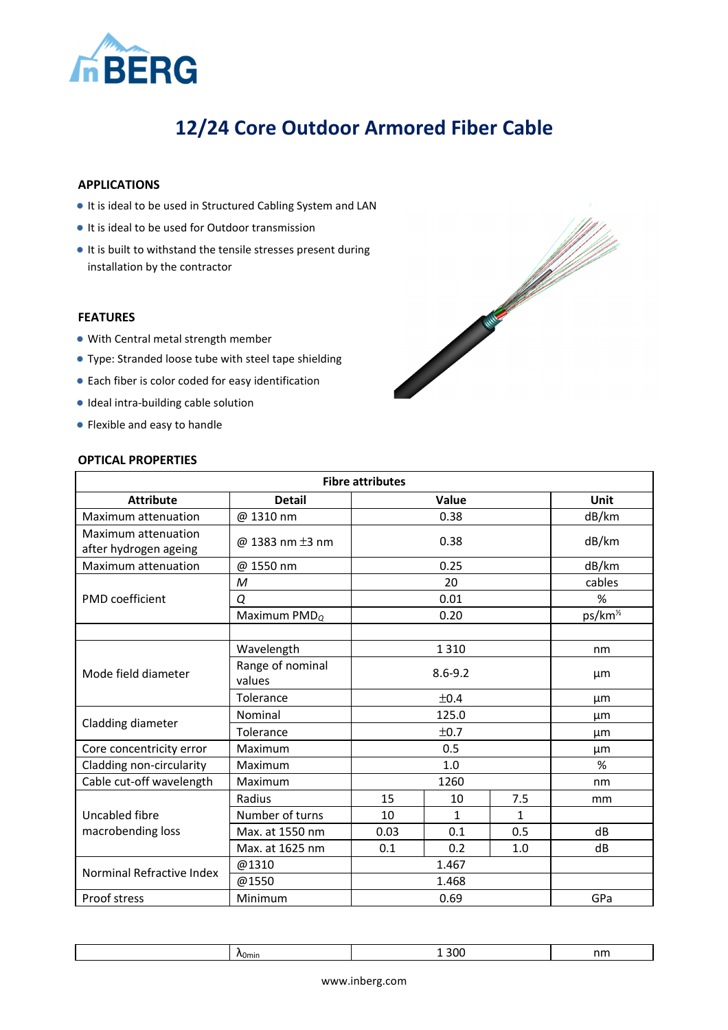

# **12/24 Core Outdoor Armored Fiber Cable**

## **APPLICATIONS**

- It is ideal to be used in Structured Cabling System and LAN
- It is ideal to be used for Outdoor transmission
- It is built to withstand the tensile stresses present during installation by the contractor

## **FEATURES**

- With Central metal strength member
- Type: Stranded loose tube with steel tape shielding
- Each fiber is color coded for easy identification
- Ideal intra-building cable solution
- Flexible and easy to handle



#### **OPTICAL PROPERTIES**

| <b>Fibre attributes</b>                      |                            |             |              |                      |             |
|----------------------------------------------|----------------------------|-------------|--------------|----------------------|-------------|
| <b>Attribute</b>                             | <b>Detail</b>              | Value       |              |                      | <b>Unit</b> |
| Maximum attenuation                          | @ 1310 nm                  |             | 0.38         |                      |             |
| Maximum attenuation<br>after hydrogen ageing | @ 1383 nm $\pm$ 3 nm       |             | 0.38         |                      | dB/km       |
| Maximum attenuation                          | @ 1550 nm                  |             | 0.25         |                      | dB/km       |
|                                              | M                          | 20          |              | cables               |             |
| PMD coefficient                              | Q                          | 0.01        |              | %                    |             |
|                                              | Maximum $PMD_Q$            | 0.20        |              | ps/km <sup>1/2</sup> |             |
|                                              |                            |             |              |                      |             |
| Mode field diameter                          | Wavelength                 |             | 1 3 1 0      |                      |             |
|                                              | Range of nominal<br>values | $8.6 - 9.2$ |              |                      | µm          |
|                                              | Tolerance                  | ±0.4        |              |                      | μm          |
| Cladding diameter                            | Nominal                    | 125.0       |              | μm                   |             |
|                                              | Tolerance                  | ±0.7        |              | µm                   |             |
| Core concentricity error                     | Maximum                    | 0.5         |              |                      | µm          |
| Cladding non-circularity                     | Maximum                    | 1.0         |              | %                    |             |
| Cable cut-off wavelength                     | Maximum                    | 1260        |              |                      | nm          |
|                                              | Radius                     | 15          | 10           | 7.5                  | mm          |
| Uncabled fibre                               | Number of turns            | 10          | $\mathbf{1}$ | $\mathbf{1}$         |             |
| macrobending loss                            | Max. at 1550 nm            | 0.03        | 0.1          | 0.5                  | dB          |
|                                              | Max. at 1625 nm            | 0.1         | 0.2          | 1.0                  | dB          |
|                                              | @1310                      | 1.467       |              |                      |             |
| Norminal Refractive Index                    | @1550                      | 1.468       |              |                      |             |
| Proof stress                                 | Minimum                    | 0.69        |              |                      | GPa         |

|  | ^<br>\0min | 30C<br>.<br>-- | nm |
|--|------------|----------------|----|
|--|------------|----------------|----|